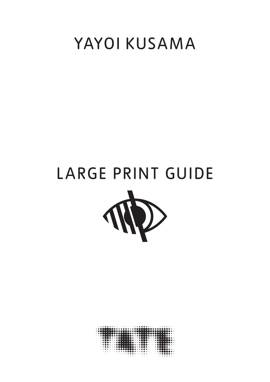# YAYOI KUSAMA

# LARGE PRINT GUIDE P

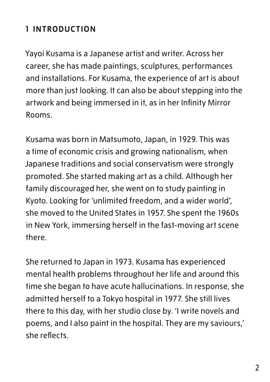# **1 INTRODUCTION**

Yayoi Kusama is a Japanese artist and writer. Across her career, she has made paintings, sculptures, performances and installations. For Kusama, the experience of art is about more than just looking. It can also be about stepping into the artwork and being immersed in it, as in her Infinity Mirror Rooms.

Kusama was born in Matsumoto, Japan, in 1929. This was a time of economic crisis and growing nationalism, when Japanese traditions and social conservatism were strongly promoted. She started making art as a child. Although her family discouraged her, she went on to study painting in Kyoto. Looking for 'unlimited freedom, and a wider world', she moved to the United States in 1957. She spent the 1960s in New York, immersing herself in the fast-moving art scene there.

She returned to Japan in 1973. Kusama has experienced mental health problems throughout her life and around this time she began to have acute hallucinations. In response, she admitted herself to a Tokyo hospital in 1977. She still lives there to this day, with her studio close by. 'I write novels and poems, and I also paint in the hospital. They are my saviours,' she reflects.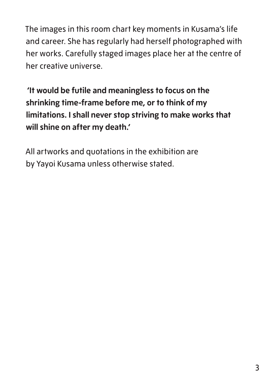The images in this room chart key moments in Kusama's life and career. She has regularly had herself photographed with her works. Carefully staged images place her at the centre of her creative universe.

**'It would be futile and meaningless to focus on the shrinking time-frame before me, or to think of my limitations. I shall never stop striving to make works that will shine on after my death.'**

All artworks and quotations in the exhibition are by Yayoi Kusama unless otherwise stated.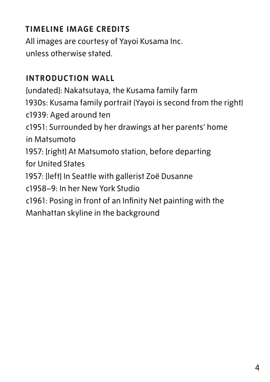# **TIMELINE IMAGE CREDITS**

All images are courtesy of Yayoi Kusama Inc. unless otherwise stated.

# **INTRODUCTION WALL**

[undated]: Nakatsutaya, the Kusama family farm 1930s: Kusama family portrait (Yayoi is second from the right) c1939: Aged around ten c1951: Surrounded by her drawings at her parents' home in Matsumoto 1957: [right] At Matsumoto station, before departing for United States 1957: [left] In Seattle with gallerist Zoë Dusanne c1958–9: In her New York Studio c1961: Posing in front of an Infinity Net painting with the

Manhattan skyline in the background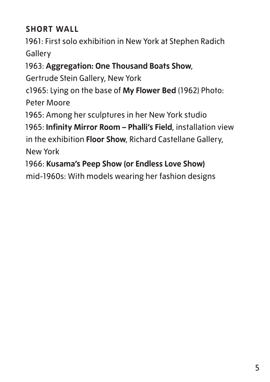# **SHORT WALL**

1961: First solo exhibition in New York at Stephen Radich **Gallery** 

1963: **Aggregation: One Thousand Boats Show**,

Gertrude Stein Gallery, New York

c1965: Lying on the base of **My Flower Bed** (1962) Photo: Peter Moore

1965: Among her sculptures in her New York studio

1965: **Infinity Mirror Room – Phalli's Field**, installation view in the exhibition **Floor Show**, Richard Castellane Gallery, New York

1966: **Kusama's Peep Show (or Endless Love Show)** mid-1960s: With models wearing her fashion designs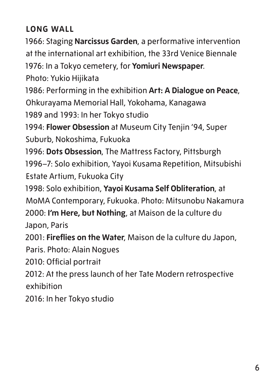# **LONG WALL**

1966: Staging **Narcissus Garden**, a performative intervention at the international art exhibition, the 33rd Venice Biennale 1976: In a Tokyo cemetery, for **Yomiuri Newspaper**.

Photo: Yukio Hijikata

1986: Performing in the exhibition **Art: A Dialogue on Peace**,

Ohkurayama Memorial Hall, Yokohama, Kanagawa

1989 and 1993: In her Tokyo studio

1994: **Flower Obsession** at Museum City Tenjin '94, Super Suburb, Nokoshima, Fukuoka

1996: **Dots Obsession**, The Mattress Factory, Pittsburgh 1996–7: Solo exhibition, Yayoi Kusama Repetition, Mitsubishi Estate Artium, Fukuoka City

1998: Solo exhibition, **Yayoi Kusama Self Obliteration**, at MoMA Contemporary, Fukuoka. Photo: Mitsunobu Nakamura 2000: **I'm Here, but Nothing**, at Maison de la culture du

Japon, Paris

2001: **Fireflies on the Water**, Maison de la culture du Japon,

Paris. Photo: Alain Nogues

2010: Official portrait

2012: At the press launch of her Tate Modern retrospective exhibition

2016: In her Tokyo studio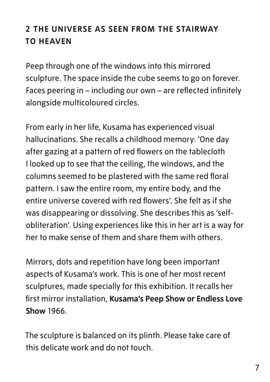# **2 THE UNIVERSE AS SEEN FROM THE STAIRWAY TO HEAVEN**

Peep through one of the windows into this mirrored sculpture. The space inside the cube seems to go on forever. Faces peering in – including our own – are reflected infinitely alongside multicoloured circles.

From early in her life, Kusama has experienced visual hallucinations. She recalls a childhood memory: 'One day after gazing at a pattern of red flowers on the tablecloth I looked up to see that the ceiling, the windows, and the columns seemed to be plastered with the same red floral pattern. I saw the entire room, my entire body, and the entire universe covered with red flowers'. She felt as if she was disappearing or dissolving. She describes this as 'selfobliteration'. Using experiences like this in her art is a way for her to make sense of them and share them with others.

Mirrors, dots and repetition have long been important aspects of Kusama's work. This is one of her most recent sculptures, made specially for this exhibition. It recalls her first mirror installation, **Kusama's Peep Show or Endless Love Show** 1966.

The sculpture is balanced on its plinth. Please take care of this delicate work and do not touch.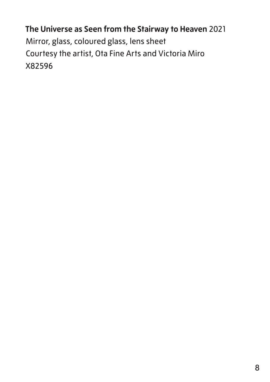**The Universe as Seen from the Stairway to Heaven** 2021 Mirror, glass, coloured glass, lens sheet Courtesy the artist, Ota Fine Arts and Victoria Miro X82596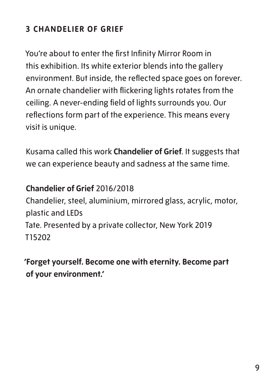# **3 CHANDELIER OF GRIEF**

You're about to enter the first Infinity Mirror Room in this exhibition. Its white exterior blends into the gallery environment. But inside, the reflected space goes on forever. An ornate chandelier with flickering lights rotates from the ceiling. A never-ending field of lights surrounds you. Our reflections form part of the experience. This means every visit is unique.

Kusama called this work **Chandelier of Grief**. It suggests that we can experience beauty and sadness at the same time.

#### **Chandelier of Grief** 2016/2018

Chandelier, steel, aluminium, mirrored glass, acrylic, motor, plastic and LEDs Tate. Presented by a private collector, New York 2019 T15202

**'Forget yourself. Become one with eternity. Become part of your environment.'**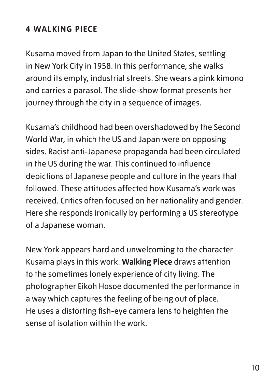# **4 WALKING PIECE**

Kusama moved from Japan to the United States, settling in New York City in 1958. In this performance, she walks around its empty, industrial streets. She wears a pink kimono and carries a parasol. The slide-show format presents her journey through the city in a sequence of images.

Kusama's childhood had been overshadowed by the Second World War, in which the US and Japan were on opposing sides. Racist anti-Japanese propaganda had been circulated in the US during the war. This continued to influence depictions of Japanese people and culture in the years that followed. These attitudes affected how Kusama's work was received. Critics often focused on her nationality and gender. Here she responds ironically by performing a US stereotype of a Japanese woman.

New York appears hard and unwelcoming to the character Kusama plays in this work. **Walking Piece** draws attention to the sometimes lonely experience of city living. The photographer Eikoh Hosoe documented the performance in a way which captures the feeling of being out of place. He uses a distorting fish-eye camera lens to heighten the sense of isolation within the work.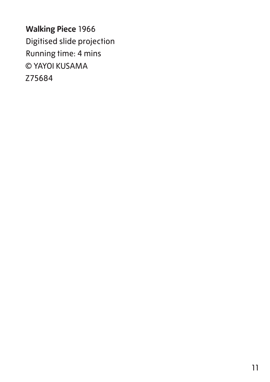**Walking Piece** 1966 Digitised slide projection Running time: 4 mins © YAYOI KUSAMA Z75684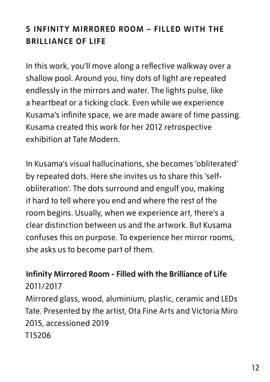# **5 INFINITY MIRRORED ROOM – FILLED WITH THE BRILLIANCE OF LIFE**

In this work, you'll move along a reflective walkway over a shallow pool. Around you, tiny dots of light are repeated endlessly in the mirrors and water. The lights pulse, like a heartbeat or a ticking clock. Even while we experience Kusama's infinite space, we are made aware of time passing. Kusama created this work for her 2012 retrospective exhibition at Tate Modern.

In Kusama's visual hallucinations, she becomes 'obliterated' by repeated dots. Here she invites us to share this 'selfobliteration'. The dots surround and engulf you, making it hard to tell where you end and where the rest of the room begins. Usually, when we experience art, there's a clear distinction between us and the artwork. But Kusama confuses this on purpose. To experience her mirror rooms, she asks us to become part of them.

#### **Infinity Mirrored Room - Filled with the Brilliance of Life**  2011/2017

Mirrored glass, wood, aluminium, plastic, ceramic and LEDs Tate. Presented by the artist, Ota Fine Arts and Victoria Miro 2015, accessioned 2019 T15206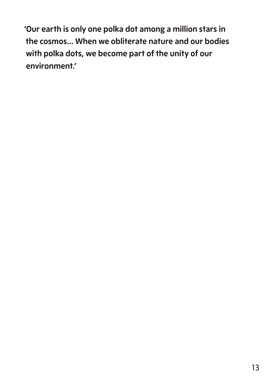**'Our earth is only one polka dot among a million stars in the cosmos... When we obliterate nature and our bodies with polka dots, we become part of the unity of our environment.'**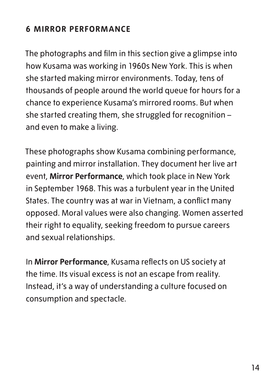# **6 MIRROR PERFORMANCE**

The photographs and film in this section give a glimpse into how Kusama was working in 1960s New York. This is when she started making mirror environments. Today, tens of thousands of people around the world queue for hours for a chance to experience Kusama's mirrored rooms. But when she started creating them, she struggled for recognition – and even to make a living.

These photographs show Kusama combining performance, painting and mirror installation. They document her live art event, **Mirror Performance**, which took place in New York in September 1968. This was a turbulent year in the United States. The country was at war in Vietnam, a conflict many opposed. Moral values were also changing. Women asserted their right to equality, seeking freedom to pursue careers and sexual relationships.

In **Mirror Performance**, Kusama reflects on US society at the time. Its visual excess is not an escape from reality. Instead, it's a way of understanding a culture focused on consumption and spectacle.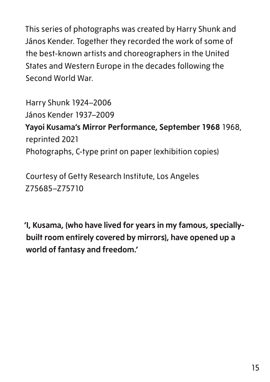This series of photographs was created by Harry Shunk and János Kender. Together they recorded the work of some of the best-known artists and choreographers in the United States and Western Europe in the decades following the Second World War.

Harry Shunk 1924–2006 János Kender 1937–2009 **Yayoi Kusama's Mirror Performance, September 1968** 1968, reprinted 2021 Photographs, C-type print on paper (exhibition copies)

Courtesy of Getty Research Institute, Los Angeles Z75685–Z75710

**'I, Kusama, (who have lived for years in my famous, speciallybuilt room entirely covered by mirrors), have opened up a world of fantasy and freedom.'**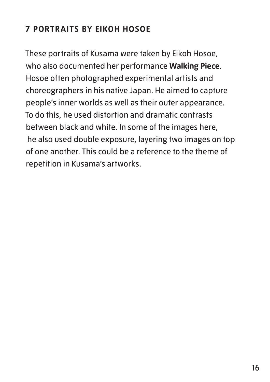# **7 PORTRAITS BY EIKOH HOSOE**

These portraits of Kusama were taken by Eikoh Hosoe, who also documented her performance **Walking Piece**. Hosoe often photographed experimental artists and choreographers in his native Japan. He aimed to capture people's inner worlds as well as their outer appearance. To do this, he used distortion and dramatic contrasts between black and white. In some of the images here, he also used double exposure, layering two images on top of one another. This could be a reference to the theme of repetition in Kusama's artworks.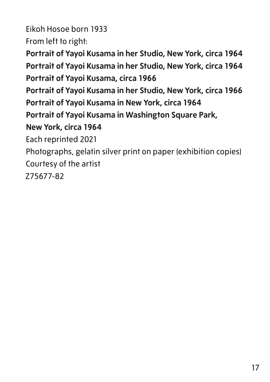Eikoh Hosoe born 1933

From left to right:

**Portrait of Yayoi Kusama in her Studio, New York, circa 1964 Portrait of Yayoi Kusama in her Studio, New York, circa 1964 Portrait of Yayoi Kusama, circa 1966** 

**Portrait of Yayoi Kusama in her Studio, New York, circa 1966 Portrait of Yayoi Kusama in New York, circa 1964** 

**Portrait of Yayoi Kusama in Washington Square Park,** 

**New York, circa 1964**

Each reprinted 2021

Photographs, gelatin silver print on paper (exhibition copies) Courtesy of the artist

Z75677-82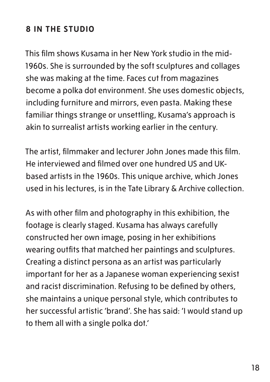# **8 IN THE STUDIO**

This film shows Kusama in her New York studio in the mid-1960s. She is surrounded by the soft sculptures and collages she was making at the time. Faces cut from magazines become a polka dot environment. She uses domestic objects, including furniture and mirrors, even pasta. Making these familiar things strange or unsettling, Kusama's approach is akin to surrealist artists working earlier in the century.

The artist, filmmaker and lecturer John Jones made this film. He interviewed and filmed over one hundred US and UKbased artists in the 1960s. This unique archive, which Jones used in his lectures, is in the Tate Library & Archive collection.

As with other film and photography in this exhibition, the footage is clearly staged. Kusama has always carefully constructed her own image, posing in her exhibitions wearing outfits that matched her paintings and sculptures. Creating a distinct persona as an artist was particularly important for her as a Japanese woman experiencing sexist and racist discrimination. Refusing to be defined by others, she maintains a unique personal style, which contributes to her successful artistic 'brand'. She has said: 'I would stand up to them all with a single polka dot.'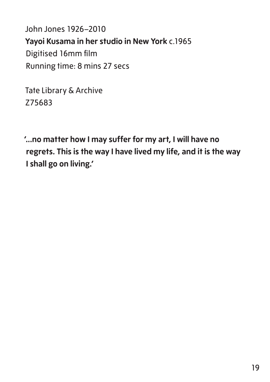John Jones 1926–2010 **Yayoi Kusama in her studio in New York** c.1965 Digitised 16mm film Running time: 8 mins 27 secs

Tate Library & Archive Z75683

**'...no matter how I may suffer for my art, I will have no regrets. This is the way I have lived my life, and it is the way I shall go on living.'**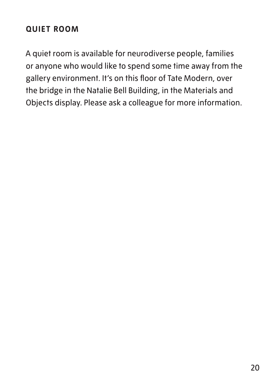#### **QUIET ROOM**

A quiet room is available for neurodiverse people, families or anyone who would like to spend some time away from the gallery environment. It's on this floor of Tate Modern, over the bridge in the Natalie Bell Building, in the Materials and Objects display. Please ask a colleague for more information.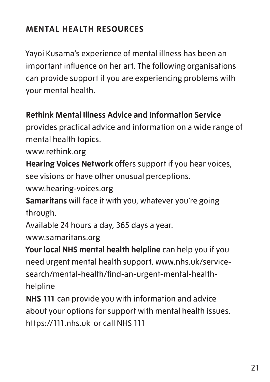# **MENTAL HEALTH RESOURCES**

Yayoi Kusama's experience of mental illness has been an important influence on her art. The following organisations can provide support if you are experiencing problems with your mental health.

#### **Rethink Mental Illness Advice and Information Service**

provides practical advice and information on a wide range of mental health topics.

www.rethink.org

**Hearing Voices Network** offers support if you hear voices, see visions or have other unusual perceptions.

www.hearing-voices.org

**Samaritans** will face it with you, whatever you're going through.

Available 24 hours a day, 365 days a year.

www.samaritans.org

**Your local NHS mental health helpline** can help you if you need urgent mental health support. www.nhs.uk/servicesearch/mental-health/find-an-urgent-mental-healthhelpline

**NHS 111** can provide you with information and advice about your options for support with mental health issues. https://111.nhs.uk or call NHS 111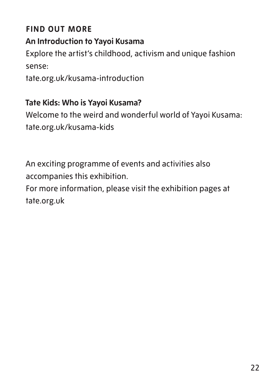# **FIND OUT MORE**

## **An Introduction to Yayoi Kusama**

Explore the artist's childhood, activism and unique fashion sense:

tate.org.uk/kusama-introduction

#### **Tate Kids: Who is Yayoi Kusama?**

Welcome to the weird and wonderful world of Yayoi Kusama: tate.org.uk/kusama-kids

An exciting programme of events and activities also accompanies this exhibition.

For more information, please visit the exhibition pages at tate.org.uk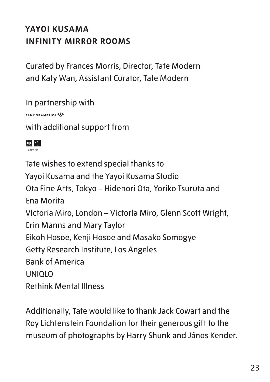# **YAYOI KUSAMA INFINITY MIRROR ROOMS**

Curated by Frances Morris, Director, Tate Modern and Katy Wan, Assistant Curator, Tate Modern

In partnership with

**BANK OF AMERICA** 

with additional support from



Tate wishes to extend special thanks to Yayoi Kusama and the Yayoi Kusama Studio Ota Fine Arts, Tokyo – Hidenori Ota, Yoriko Tsuruta and Ena Morita Victoria Miro, London – Victoria Miro, Glenn Scott Wright, Erin Manns and Mary Taylor Eikoh Hosoe, Kenji Hosoe and Masako Somogye Getty Research Institute, Los Angeles Bank of America UNIQLO Rethink Mental Illness

Additionally, Tate would like to thank Jack Cowart and the Roy Lichtenstein Foundation for their generous gift to the museum of photographs by Harry Shunk and János Kender.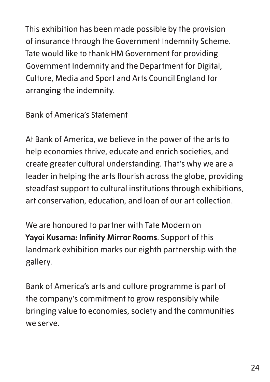This exhibition has been made possible by the provision of insurance through the Government Indemnity Scheme. Tate would like to thank HM Government for providing Government Indemnity and the Department for Digital, Culture, Media and Sport and Arts Council England for arranging the indemnity.

Bank of America's Statement

At Bank of America, we believe in the power of the arts to help economies thrive, educate and enrich societies, and create greater cultural understanding. That's why we are a leader in helping the arts flourish across the globe, providing steadfast support to cultural institutions through exhibitions, art conservation, education, and loan of our art collection.

We are honoured to partner with Tate Modern on **Yayoi Kusama: Infinity Mirror Rooms**. Support of this landmark exhibition marks our eighth partnership with the gallery.

Bank of America's arts and culture programme is part of the company's commitment to grow responsibly while bringing value to economies, society and the communities we serve.